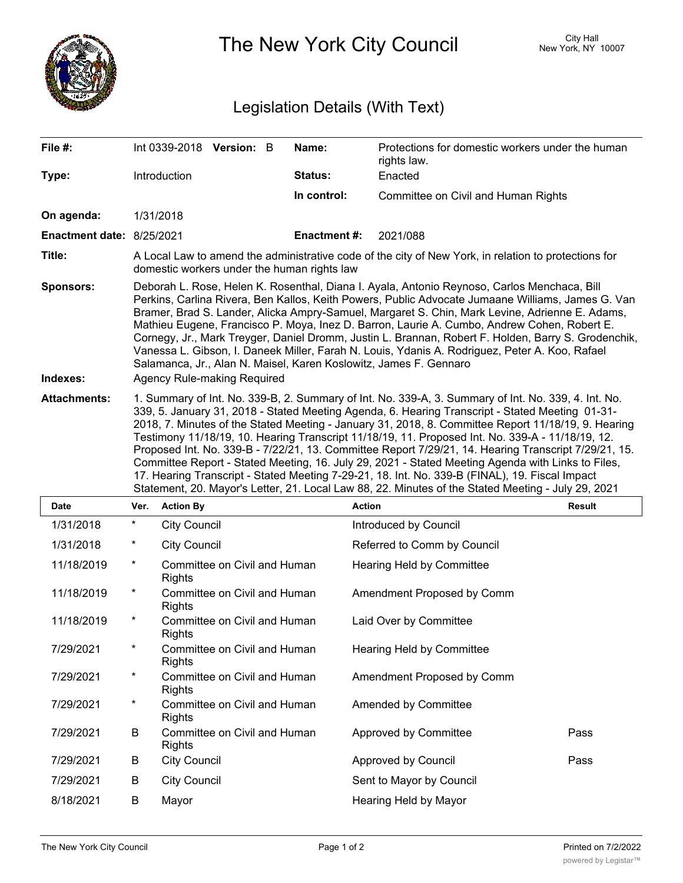

The New York City Council New York, NY 10007

## Legislation Details (With Text)

| File $#$ :                   | Int 0339-2018 Version: B                                                                                                                                                                                                                                                                                                                                                                                                                                                                                                                                                                                                                                                                                                                                                                                                               |  |  | Name:        | Protections for domestic workers under the human<br>rights law. |  |
|------------------------------|----------------------------------------------------------------------------------------------------------------------------------------------------------------------------------------------------------------------------------------------------------------------------------------------------------------------------------------------------------------------------------------------------------------------------------------------------------------------------------------------------------------------------------------------------------------------------------------------------------------------------------------------------------------------------------------------------------------------------------------------------------------------------------------------------------------------------------------|--|--|--------------|-----------------------------------------------------------------|--|
| Type:                        | Introduction                                                                                                                                                                                                                                                                                                                                                                                                                                                                                                                                                                                                                                                                                                                                                                                                                           |  |  | Status:      | Enacted                                                         |  |
|                              |                                                                                                                                                                                                                                                                                                                                                                                                                                                                                                                                                                                                                                                                                                                                                                                                                                        |  |  | In control:  | Committee on Civil and Human Rights                             |  |
| On agenda:                   | 1/31/2018                                                                                                                                                                                                                                                                                                                                                                                                                                                                                                                                                                                                                                                                                                                                                                                                                              |  |  |              |                                                                 |  |
| Enactment date: 8/25/2021    |                                                                                                                                                                                                                                                                                                                                                                                                                                                                                                                                                                                                                                                                                                                                                                                                                                        |  |  | Enactment #: | 2021/088                                                        |  |
| Title:                       | A Local Law to amend the administrative code of the city of New York, in relation to protections for<br>domestic workers under the human rights law                                                                                                                                                                                                                                                                                                                                                                                                                                                                                                                                                                                                                                                                                    |  |  |              |                                                                 |  |
| <b>Sponsors:</b><br>Indexes: | Deborah L. Rose, Helen K. Rosenthal, Diana I. Ayala, Antonio Reynoso, Carlos Menchaca, Bill<br>Perkins, Carlina Rivera, Ben Kallos, Keith Powers, Public Advocate Jumaane Williams, James G. Van<br>Bramer, Brad S. Lander, Alicka Ampry-Samuel, Margaret S. Chin, Mark Levine, Adrienne E. Adams,<br>Mathieu Eugene, Francisco P. Moya, Inez D. Barron, Laurie A. Cumbo, Andrew Cohen, Robert E.<br>Cornegy, Jr., Mark Treyger, Daniel Dromm, Justin L. Brannan, Robert F. Holden, Barry S. Grodenchik,<br>Vanessa L. Gibson, I. Daneek Miller, Farah N. Louis, Ydanis A. Rodriguez, Peter A. Koo, Rafael<br>Salamanca, Jr., Alan N. Maisel, Karen Koslowitz, James F. Gennaro<br>Agency Rule-making Required                                                                                                                         |  |  |              |                                                                 |  |
| <b>Attachments:</b>          | 1. Summary of Int. No. 339-B, 2. Summary of Int. No. 339-A, 3. Summary of Int. No. 339, 4. Int. No.<br>339, 5. January 31, 2018 - Stated Meeting Agenda, 6. Hearing Transcript - Stated Meeting 01-31-<br>2018, 7. Minutes of the Stated Meeting - January 31, 2018, 8. Committee Report 11/18/19, 9. Hearing<br>Testimony 11/18/19, 10. Hearing Transcript 11/18/19, 11. Proposed Int. No. 339-A - 11/18/19, 12.<br>Proposed Int. No. 339-B - 7/22/21, 13. Committee Report 7/29/21, 14. Hearing Transcript 7/29/21, 15.<br>Committee Report - Stated Meeting, 16. July 29, 2021 - Stated Meeting Agenda with Links to Files,<br>17. Hearing Transcript - Stated Meeting 7-29-21, 18. Int. No. 339-B (FINAL), 19. Fiscal Impact<br>Statement, 20. Mayor's Letter, 21. Local Law 88, 22. Minutes of the Stated Meeting - July 29, 2021 |  |  |              |                                                                 |  |
|                              |                                                                                                                                                                                                                                                                                                                                                                                                                                                                                                                                                                                                                                                                                                                                                                                                                                        |  |  |              |                                                                 |  |

| <b>Date</b> | Ver.     | <b>Action By</b>                              | <b>Action</b>               | <b>Result</b> |
|-------------|----------|-----------------------------------------------|-----------------------------|---------------|
| 1/31/2018   | $^\star$ | <b>City Council</b>                           | Introduced by Council       |               |
| 1/31/2018   | $^\star$ | <b>City Council</b>                           | Referred to Comm by Council |               |
| 11/18/2019  | $^\star$ | Committee on Civil and Human<br>Rights        | Hearing Held by Committee   |               |
| 11/18/2019  | $^\star$ | Committee on Civil and Human<br><b>Rights</b> | Amendment Proposed by Comm  |               |
| 11/18/2019  | $^\star$ | Committee on Civil and Human<br><b>Rights</b> | Laid Over by Committee      |               |
| 7/29/2021   | $^\star$ | Committee on Civil and Human<br><b>Rights</b> | Hearing Held by Committee   |               |
| 7/29/2021   | $^\star$ | Committee on Civil and Human<br><b>Rights</b> | Amendment Proposed by Comm  |               |
| 7/29/2021   | $^\star$ | Committee on Civil and Human<br><b>Rights</b> | Amended by Committee        |               |
| 7/29/2021   | B        | Committee on Civil and Human<br><b>Rights</b> | Approved by Committee       | Pass          |
| 7/29/2021   | B        | <b>City Council</b>                           | Approved by Council         | Pass          |
| 7/29/2021   | B        | <b>City Council</b>                           | Sent to Mayor by Council    |               |
| 8/18/2021   | B        | Mayor                                         | Hearing Held by Mayor       |               |
|             |          |                                               |                             |               |